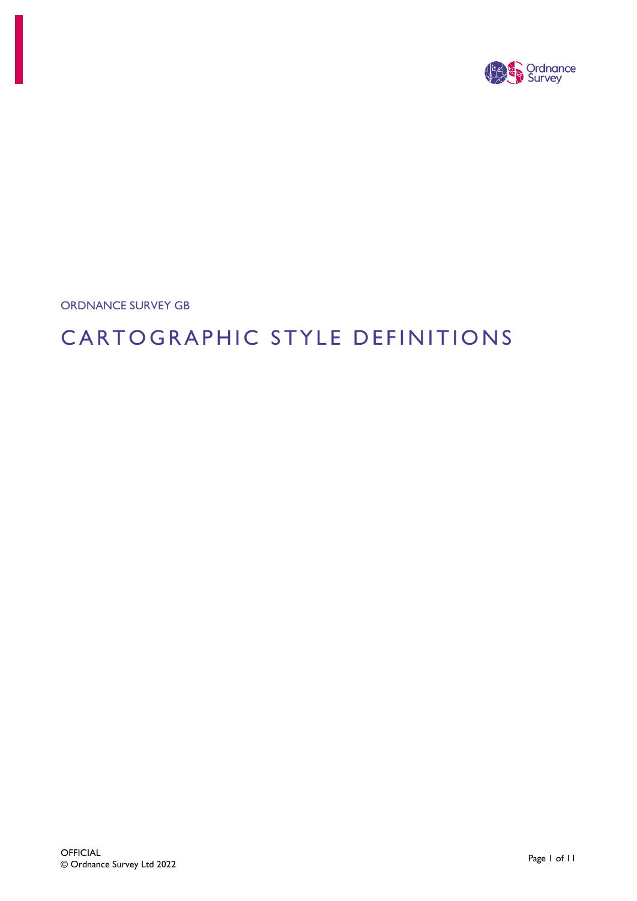

ORDNANCE SURVEY GB

# CARTOGRAPHIC STYLE DEFINITIONS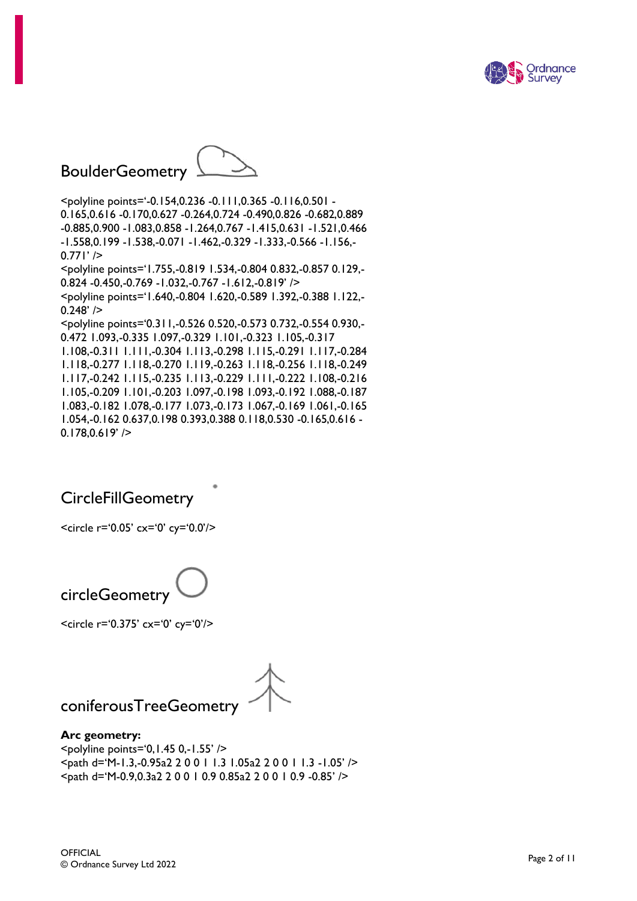

# BoulderGeometry



<polyline points='-0.154,0.236 -0.111,0.365 -0.116,0.501 - 0.165,0.616 -0.170,0.627 -0.264,0.724 -0.490,0.826 -0.682,0.889 -0.885,0.900 -1.083,0.858 -1.264,0.767 -1.415,0.631 -1.521,0.466 -1.558,0.199 -1.538,-0.071 -1.462,-0.329 -1.333,-0.566 -1.156,-  $0.771'$  /> <polyline points='1.755,-0.819 1.534,-0.804 0.832,-0.857 0.129,- 0.824 -0.450,-0.769 -1.032,-0.767 -1.612,-0.819' /> <polyline points='1.640,-0.804 1.620,-0.589 1.392,-0.388 1.122,-  $0.248'$  /> <polyline points='0.311,-0.526 0.520,-0.573 0.732,-0.554 0.930,- 0.472 1.093,-0.335 1.097,-0.329 1.101,-0.323 1.105,-0.317 1.108,-0.311 1.111,-0.304 1.113,-0.298 1.115,-0.291 1.117,-0.284 1.118,-0.277 1.118,-0.270 1.119,-0.263 1.118,-0.256 1.118,-0.249 1.117,-0.242 1.115,-0.235 1.113,-0.229 1.111,-0.222 1.108,-0.216 1.105,-0.209 1.101,-0.203 1.097,-0.198 1.093,-0.192 1.088,-0.187 1.083,-0.182 1.078,-0.177 1.073,-0.173 1.067,-0.169 1.061,-0.165 1.054,-0.162 0.637,0.198 0.393,0.388 0.118,0.530 -0.165,0.616 -  $0.178,0.619'$  />

### **CircleFillGeometry**

<circle r='0.05' cx='0' cy='0.0'/>



<circle r='0.375' cx='0' cy='0'/>

coniferousTreeGeometry

# **Arc geometry:**

<polyline points='0,1.45 0,-1.55' /> <path d='M-1.3,-0.95a2 2 0 0 1 1.3 1.05a2 2 0 0 1 1.3 -1.05' /> <path d='M-0.9,0.3a2 2 0 0 1 0.9 0.85a2 2 0 0 1 0.9 -0.85' />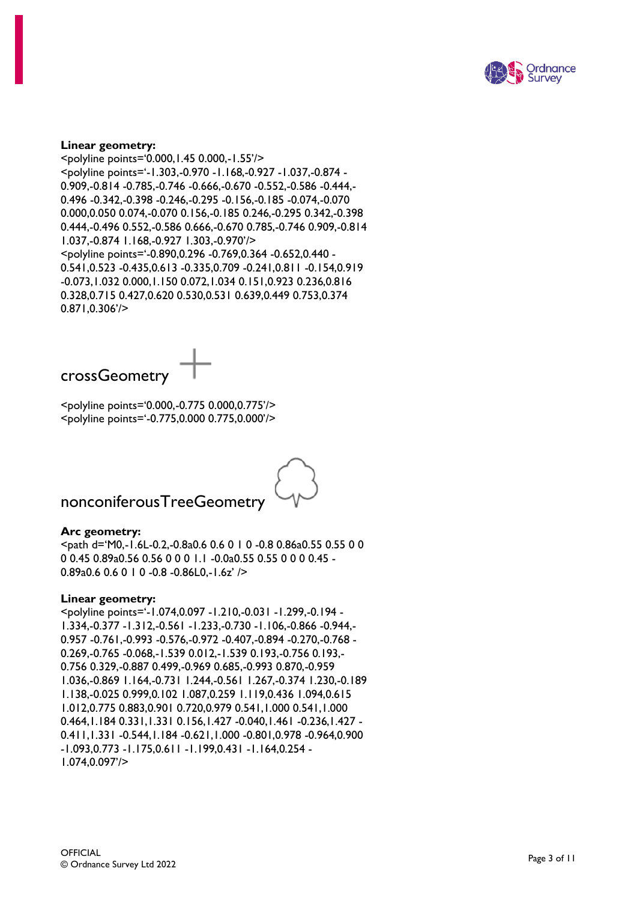

#### **Linear geometry:**

<polyline points='0.000,1.45 0.000,-1.55'/> <polyline points='-1.303,-0.970 -1.168,-0.927 -1.037,-0.874 - 0.909,-0.814 -0.785,-0.746 -0.666,-0.670 -0.552,-0.586 -0.444,- 0.496 -0.342,-0.398 -0.246,-0.295 -0.156,-0.185 -0.074,-0.070 0.000,0.050 0.074,-0.070 0.156,-0.185 0.246,-0.295 0.342,-0.398 0.444,-0.496 0.552,-0.586 0.666,-0.670 0.785,-0.746 0.909,-0.814 1.037,-0.874 1.168,-0.927 1.303,-0.970'/> <polyline points='-0.890,0.296 -0.769,0.364 -0.652,0.440 - 0.541,0.523 -0.435,0.613 -0.335,0.709 -0.241,0.811 -0.154,0.919 -0.073,1.032 0.000,1.150 0.072,1.034 0.151,0.923 0.236,0.816 0.328,0.715 0.427,0.620 0.530,0.531 0.639,0.449 0.753,0.374 0.871,0.306'/>



<polyline points='0.000,-0.775 0.000,0.775'/> <polyline points='-0.775,0.000 0.775,0.000'/>



### nonconiferousTreeGeometry

#### **Arc geometry:**

<path d='M0,-1.6L-0.2,-0.8a0.6 0.6 0 1 0 -0.8 0.86a0.55 0.55 0 0 0 0.45 0.89a0.56 0.56 0 0 0 1.1 -0.0a0.55 0.55 0 0 0 0.45 - 0.89a0.6 0.6 0 1 0 -0.8 -0.86L0,-1.6z' />

#### **Linear geometry:**

<polyline points='-1.074,0.097 -1.210,-0.031 -1.299,-0.194 - 1.334,-0.377 -1.312,-0.561 -1.233,-0.730 -1.106,-0.866 -0.944,- 0.957 -0.761,-0.993 -0.576,-0.972 -0.407,-0.894 -0.270,-0.768 - 0.269,-0.765 -0.068,-1.539 0.012,-1.539 0.193,-0.756 0.193,- 0.756 0.329,-0.887 0.499,-0.969 0.685,-0.993 0.870,-0.959 1.036,-0.869 1.164,-0.731 1.244,-0.561 1.267,-0.374 1.230,-0.189 1.138,-0.025 0.999,0.102 1.087,0.259 1.119,0.436 1.094,0.615 1.012,0.775 0.883,0.901 0.720,0.979 0.541,1.000 0.541,1.000 0.464,1.184 0.331,1.331 0.156,1.427 -0.040,1.461 -0.236,1.427 - 0.411,1.331 -0.544,1.184 -0.621,1.000 -0.801,0.978 -0.964,0.900 -1.093,0.773 -1.175,0.611 -1.199,0.431 -1.164,0.254 - 1.074,0.097'/>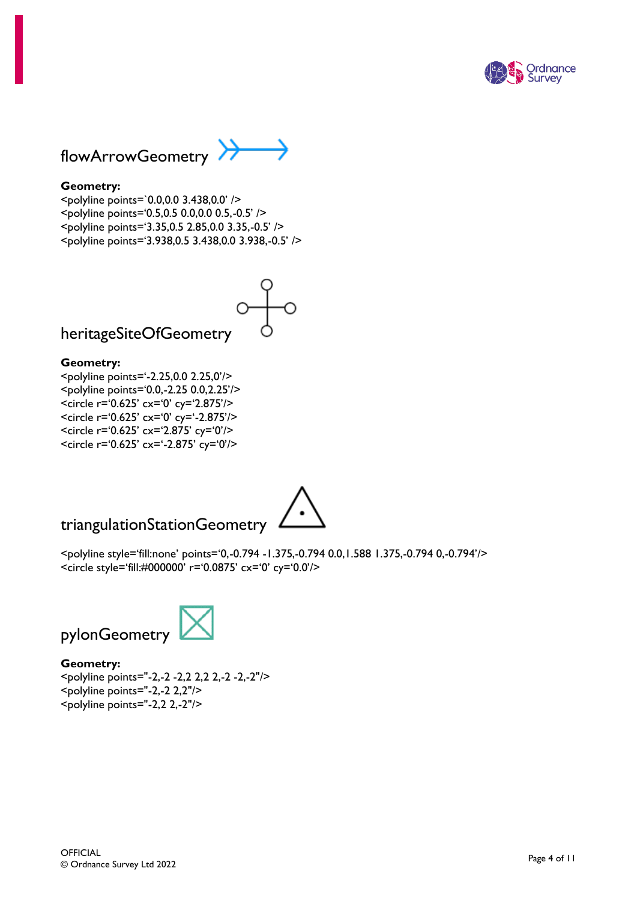



#### **Geometry:**

<polyline points=`0.0,0.0 3.438,0.0' /> <polyline points='0.5,0.5 0.0,0.0 0.5,-0.5' /> <polyline points='3.35,0.5 2.85,0.0 3.35,-0.5' /> <polyline points='3.938,0.5 3.438,0.0 3.938,-0.5' />



heritageSiteOfGeometry

#### **Geometry:**

<polyline points='-2.25,0.0 2.25,0'/> <polyline points='0.0,-2.25 0.0,2.25'/> <circle r='0.625' cx='0' cy='2.875'/> <circle r='0.625' cx='0' cy='-2.875'/> <circle r='0.625' cx='2.875' cy='0'/> <circle r='0.625' cx='-2.875' cy='0'/>

### triangulationStationGeometry



<polyline style='fill:none' points='0,-0.794 -1.375,-0.794 0.0,1.588 1.375,-0.794 0,-0.794'/> <circle style='fill:#000000' r='0.0875' cx='0' cy='0.0'/>



**Geometry:** <polyline points="-2,-2 -2,2 2,2 2,-2 -2,-2"/> <polyline points="-2,-2 2,2"/>

 $\leq$ polyline points="-2,2 2,-2"/>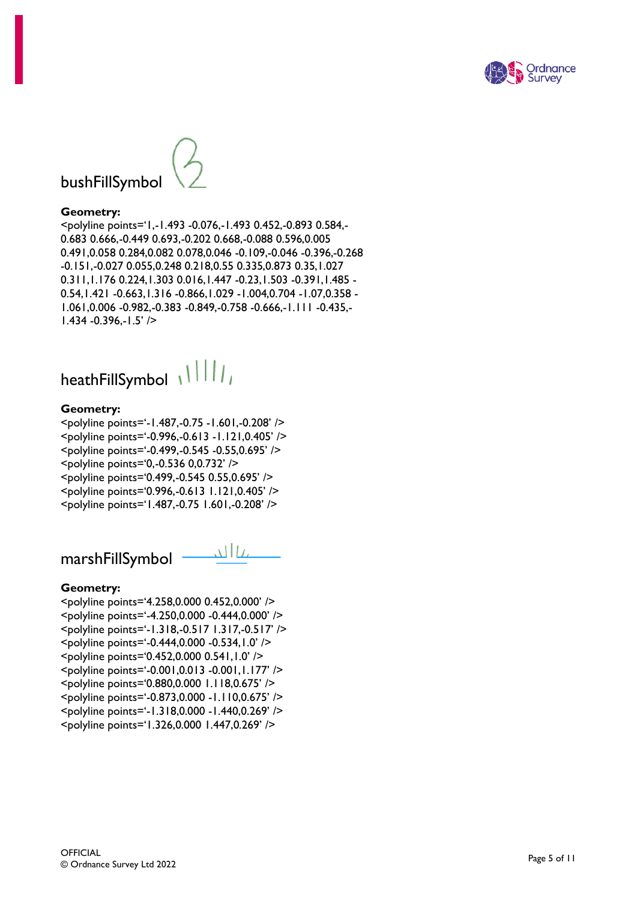

# bushFillSymbol

#### **Geometry:**

<polyline points='1,-1.493 -0.076,-1.493 0.452,-0.893 0.584,- 0.683 0.666,-0.449 0.693,-0.202 0.668,-0.088 0.596,0.005 0.491,0.058 0.284,0.082 0.078,0.046 -0.109,-0.046 -0.396,-0.268 -0.151,-0.027 0.055,0.248 0.218,0.55 0.335,0.873 0.35,1.027 0.311,1.176 0.224,1.303 0.016,1.447 -0.23,1.503 -0.391,1.485 - 0.54,1.421 -0.663,1.316 -0.866,1.029 -1.004,0.704 -1.07,0.358 - 1.061,0.006 -0.982,-0.383 -0.849,-0.758 -0.666,-1.111 -0.435,- 1.434 -0.396,-1.5' />

heathFillSymbol \\\\\\\

#### **Geometry:**

<polyline points='-1.487,-0.75 -1.601,-0.208' /> <polyline points='-0.996,-0.613 -1.121,0.405' /> <polyline points='-0.499,-0.545 -0.55,0.695' /> <polyline points='0,-0.536 0,0.732' /> <polyline points='0.499,-0.545 0.55,0.695' /> <polyline points='0.996,-0.613 1.121,0.405' /> <polyline points='1.487,-0.75 1.601,-0.208' />

عااللہ marshFillSymbol

#### **Geometry:**

<polyline points='4.258,0.000 0.452,0.000' /> <polyline points='-4.250,0.000 -0.444,0.000' /> <polyline points='-1.318,-0.517 1.317,-0.517' /> <polyline points='-0.444,0.000 -0.534,1.0' /> <polyline points='0.452,0.000 0.541,1.0' /> <polyline points='-0.001,0.013 -0.001,1.177' /> <polyline points='0.880,0.000 1.118,0.675' /> <polyline points='-0.873,0.000 -1.110,0.675' /> <polyline points='-1.318,0.000 -1.440,0.269' /> <polyline points='1.326,0.000 1.447,0.269' />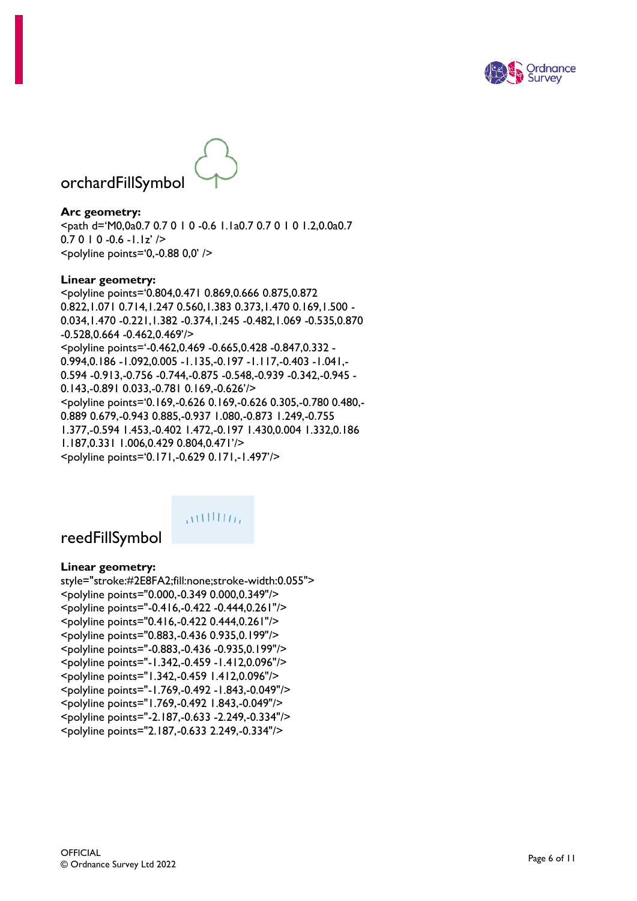



# orchardFillSymbol

**Arc geometry:** <path d='M0,0a0.7 0.7 0 1 0 -0.6 1.1a0.7 0.7 0 1 0 1.2,0.0a0.7  $0.7010 - 0.6 - 1.1z'$  />  $<$ polyline points='0,-0.88 0,0' />

#### **Linear geometry:**

<polyline points='0.804,0.471 0.869,0.666 0.875,0.872 0.822,1.071 0.714,1.247 0.560,1.383 0.373,1.470 0.169,1.500 - 0.034,1.470 -0.221,1.382 -0.374,1.245 -0.482,1.069 -0.535,0.870 -0.528,0.664 -0.462,0.469'/> <polyline points='-0.462,0.469 -0.665,0.428 -0.847,0.332 - 0.994,0.186 -1.092,0.005 -1.135,-0.197 -1.117,-0.403 -1.041,- 0.594 -0.913,-0.756 -0.744,-0.875 -0.548,-0.939 -0.342,-0.945 - 0.143,-0.891 0.033,-0.781 0.169,-0.626'/> <polyline points='0.169,-0.626 0.169,-0.626 0.305,-0.780 0.480,- 0.889 0.679,-0.943 0.885,-0.937 1.080,-0.873 1.249,-0.755 1.377,-0.594 1.453,-0.402 1.472,-0.197 1.430,0.004 1.332,0.186 1.187,0.331 1.006,0.429 0.804,0.471'/> <polyline points='0.171,-0.629 0.171,-1.497'/>



### reedFillSymbol

#### **Linear geometry:**

style="stroke:#2E8FA2;fill:none;stroke-width:0.055"> <polyline points="0.000,-0.349 0.000,0.349"/> <polyline points="-0.416,-0.422 -0.444,0.261"/> <polyline points="0.416,-0.422 0.444,0.261"/> <polyline points="0.883,-0.436 0.935,0.199"/> <polyline points="-0.883,-0.436 -0.935,0.199"/> <polyline points="-1.342,-0.459 -1.412,0.096"/> <polyline points="1.342,-0.459 1.412,0.096"/> <polyline points="-1.769,-0.492 -1.843,-0.049"/> <polyline points="1.769,-0.492 1.843,-0.049"/> <polyline points="-2.187,-0.633 -2.249,-0.334"/> <polyline points="2.187,-0.633 2.249,-0.334"/>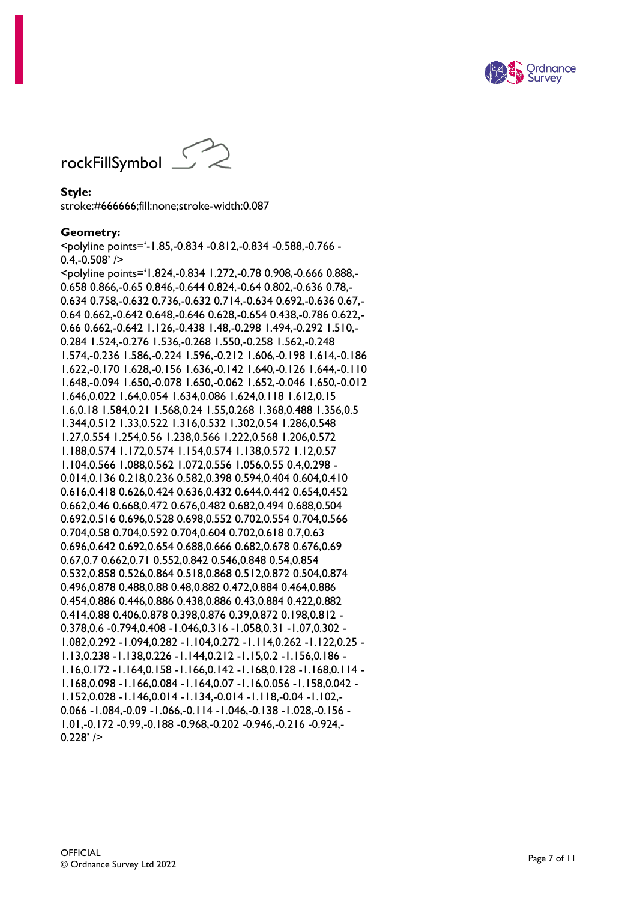



#### **Style:**

stroke:#666666;fill:none;stroke-width:0.087

#### **Geometry:**

<polyline points='-1.85,-0.834 -0.812,-0.834 -0.588,-0.766 -  $0.4,-0.508'$  /> <polyline points='1.824,-0.834 1.272,-0.78 0.908,-0.666 0.888,- 0.658 0.866,-0.65 0.846,-0.644 0.824,-0.64 0.802,-0.636 0.78,- 0.634 0.758,-0.632 0.736,-0.632 0.714,-0.634 0.692,-0.636 0.67,- 0.64 0.662,-0.642 0.648,-0.646 0.628,-0.654 0.438,-0.786 0.622,- 0.66 0.662,-0.642 1.126,-0.438 1.48,-0.298 1.494,-0.292 1.510,- 0.284 1.524,-0.276 1.536,-0.268 1.550,-0.258 1.562,-0.248 1.574,-0.236 1.586,-0.224 1.596,-0.212 1.606,-0.198 1.614,-0.186 1.622,-0.170 1.628,-0.156 1.636,-0.142 1.640,-0.126 1.644,-0.110 1.648,-0.094 1.650,-0.078 1.650,-0.062 1.652,-0.046 1.650,-0.012 1.646,0.022 1.64,0.054 1.634,0.086 1.624,0.118 1.612,0.15 1.6,0.18 1.584,0.21 1.568,0.24 1.55,0.268 1.368,0.488 1.356,0.5 1.344,0.512 1.33,0.522 1.316,0.532 1.302,0.54 1.286,0.548 1.27,0.554 1.254,0.56 1.238,0.566 1.222,0.568 1.206,0.572 1.188,0.574 1.172,0.574 1.154,0.574 1.138,0.572 1.12,0.57 1.104,0.566 1.088,0.562 1.072,0.556 1.056,0.55 0.4,0.298 - 0.014,0.136 0.218,0.236 0.582,0.398 0.594,0.404 0.604,0.410 0.616,0.418 0.626,0.424 0.636,0.432 0.644,0.442 0.654,0.452 0.662,0.46 0.668,0.472 0.676,0.482 0.682,0.494 0.688,0.504 0.692,0.516 0.696,0.528 0.698,0.552 0.702,0.554 0.704,0.566 0.704,0.58 0.704,0.592 0.704,0.604 0.702,0.618 0.7,0.63 0.696,0.642 0.692,0.654 0.688,0.666 0.682,0.678 0.676,0.69 0.67,0.7 0.662,0.71 0.552,0.842 0.546,0.848 0.54,0.854 0.532,0.858 0.526,0.864 0.518,0.868 0.512,0.872 0.504,0.874 0.496,0.878 0.488,0.88 0.48,0.882 0.472,0.884 0.464,0.886 0.454,0.886 0.446,0.886 0.438,0.886 0.43,0.884 0.422,0.882 0.414,0.88 0.406,0.878 0.398,0.876 0.39,0.872 0.198,0.812 - 0.378,0.6 -0.794,0.408 -1.046,0.316 -1.058,0.31 -1.07,0.302 - 1.082,0.292 -1.094,0.282 -1.104,0.272 -1.114,0.262 -1.122,0.25 - 1.13,0.238 -1.138,0.226 -1.144,0.212 -1.15,0.2 -1.156,0.186 - 1.16,0.172 -1.164,0.158 -1.166,0.142 -1.168,0.128 -1.168,0.114 - 1.168,0.098 -1.166,0.084 -1.164,0.07 -1.16,0.056 -1.158,0.042 - 1.152,0.028 -1.146,0.014 -1.134,-0.014 -1.118,-0.04 -1.102,- 0.066 -1.084,-0.09 -1.066,-0.114 -1.046,-0.138 -1.028,-0.156 - 1.01,-0.172 -0.99,-0.188 -0.968,-0.202 -0.946,-0.216 -0.924,-  $0.228'$  />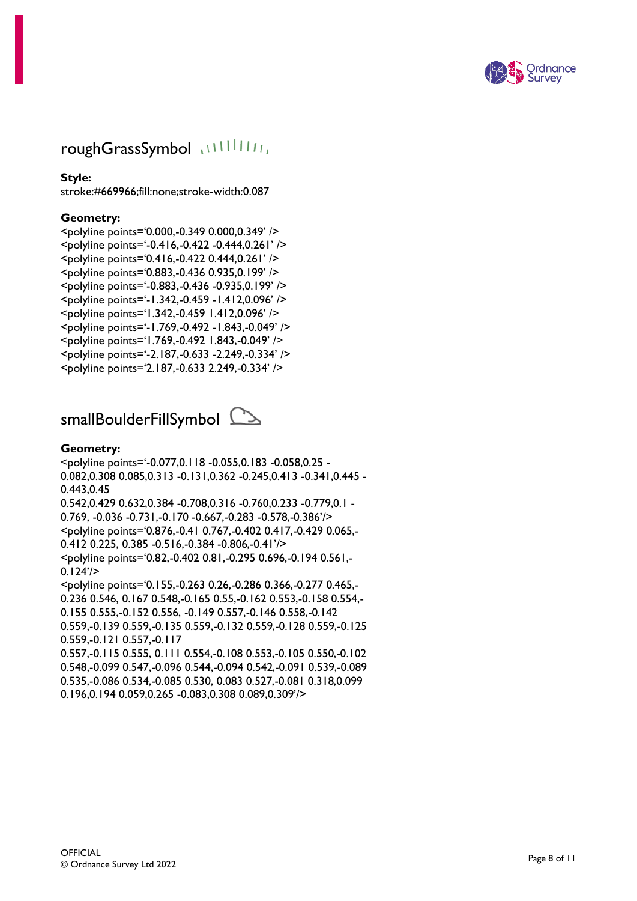

## roughGrassSymbol (11111111)

#### **Style:**

stroke:#669966;fill:none;stroke-width:0.087

#### **Geometry:**

<polyline points='0.000,-0.349 0.000,0.349' /> <polyline points='-0.416,-0.422 -0.444,0.261' /> <polyline points='0.416,-0.422 0.444,0.261' /> <polyline points='0.883,-0.436 0.935,0.199' /> <polyline points='-0.883,-0.436 -0.935,0.199' /> <polyline points='-1.342,-0.459 -1.412,0.096' /> <polyline points='1.342,-0.459 1.412,0.096' /> <polyline points='-1.769,-0.492 -1.843,-0.049' /> <polyline points='1.769,-0.492 1.843,-0.049' /> <polyline points='-2.187,-0.633 -2.249,-0.334' /> <polyline points='2.187,-0.633 2.249,-0.334' />



#### **Geometry:**

<polyline points='-0.077,0.118 -0.055,0.183 -0.058,0.25 - 0.082,0.308 0.085,0.313 -0.131,0.362 -0.245,0.413 -0.341,0.445 - 0.443,0.45 0.542,0.429 0.632,0.384 -0.708,0.316 -0.760,0.233 -0.779,0.1 - 0.769, -0.036 -0.731,-0.170 -0.667,-0.283 -0.578,-0.386'/> <polyline points='0.876,-0.41 0.767,-0.402 0.417,-0.429 0.065,- 0.412 0.225, 0.385 -0.516,-0.384 -0.806,-0.41'/> <polyline points='0.82,-0.402 0.81,-0.295 0.696,-0.194 0.561,-  $0.124'/$ <polyline points='0.155,-0.263 0.26,-0.286 0.366,-0.277 0.465,- 0.236 0.546, 0.167 0.548,-0.165 0.55,-0.162 0.553,-0.158 0.554,- 0.155 0.555,-0.152 0.556, -0.149 0.557,-0.146 0.558,-0.142 0.559,-0.139 0.559,-0.135 0.559,-0.132 0.559,-0.128 0.559,-0.125 0.559,-0.121 0.557,-0.117

0.557,-0.115 0.555, 0.111 0.554,-0.108 0.553,-0.105 0.550,-0.102 0.548,-0.099 0.547,-0.096 0.544,-0.094 0.542,-0.091 0.539,-0.089 0.535,-0.086 0.534,-0.085 0.530, 0.083 0.527,-0.081 0.318,0.099 0.196,0.194 0.059,0.265 -0.083,0.308 0.089,0.309'/>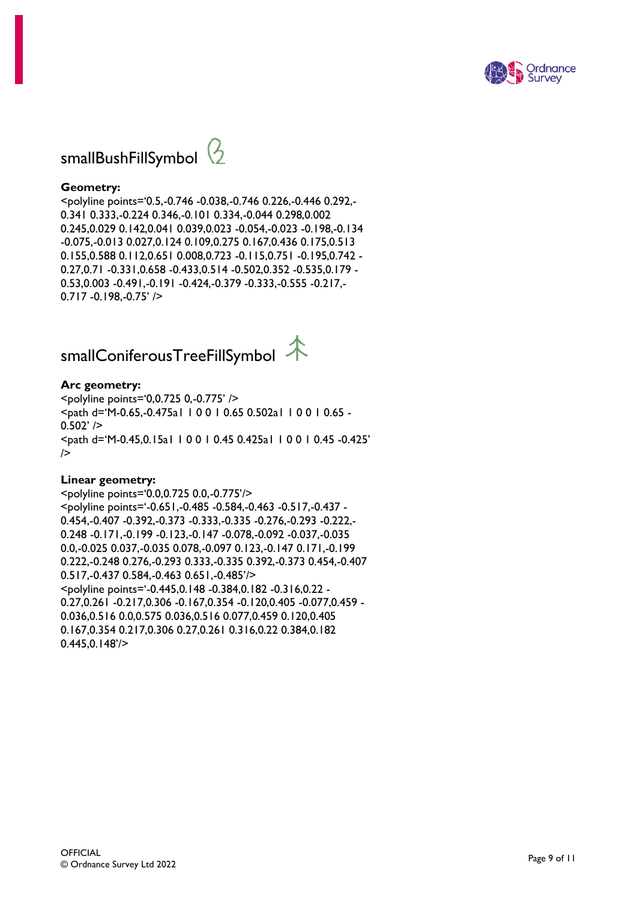



#### **Geometry:**

<polyline points='0.5,-0.746 -0.038,-0.746 0.226,-0.446 0.292,- 0.341 0.333,-0.224 0.346,-0.101 0.334,-0.044 0.298,0.002 0.245,0.029 0.142,0.041 0.039,0.023 -0.054,-0.023 -0.198,-0.134 -0.075,-0.013 0.027,0.124 0.109,0.275 0.167,0.436 0.175,0.513 0.155,0.588 0.112,0.651 0.008,0.723 -0.115,0.751 -0.195,0.742 - 0.27,0.71 -0.331,0.658 -0.433,0.514 -0.502,0.352 -0.535,0.179 - 0.53,0.003 -0.491,-0.191 -0.424,-0.379 -0.333,-0.555 -0.217,- 0.717 -0.198,-0.75' />

# smallConiferousTreeFillSymbol  $\R$

#### **Arc geometry:**

<polyline points='0,0.725 0,-0.775' /> <path d='M-0.65,-0.475a1 1 0 0 1 0.65 0.502a1 1 0 0 1 0.65 -  $0.502'$  /> <path d='M-0.45,0.15a1 1 0 0 1 0.45 0.425a1 1 0 0 1 0.45 -0.425'  $\geq$ 

#### **Linear geometry:**

<polyline points='0.0,0.725 0.0,-0.775'/> <polyline points='-0.651,-0.485 -0.584,-0.463 -0.517,-0.437 - 0.454,-0.407 -0.392,-0.373 -0.333,-0.335 -0.276,-0.293 -0.222,- 0.248 -0.171,-0.199 -0.123,-0.147 -0.078,-0.092 -0.037,-0.035 0.0,-0.025 0.037,-0.035 0.078,-0.097 0.123,-0.147 0.171,-0.199 0.222,-0.248 0.276,-0.293 0.333,-0.335 0.392,-0.373 0.454,-0.407 0.517,-0.437 0.584,-0.463 0.651,-0.485'/> <polyline points='-0.445,0.148 -0.384,0.182 -0.316,0.22 - 0.27,0.261 -0.217,0.306 -0.167,0.354 -0.120,0.405 -0.077,0.459 - 0.036,0.516 0.0,0.575 0.036,0.516 0.077,0.459 0.120,0.405 0.167,0.354 0.217,0.306 0.27,0.261 0.316,0.22 0.384,0.182 0.445,0.148'/>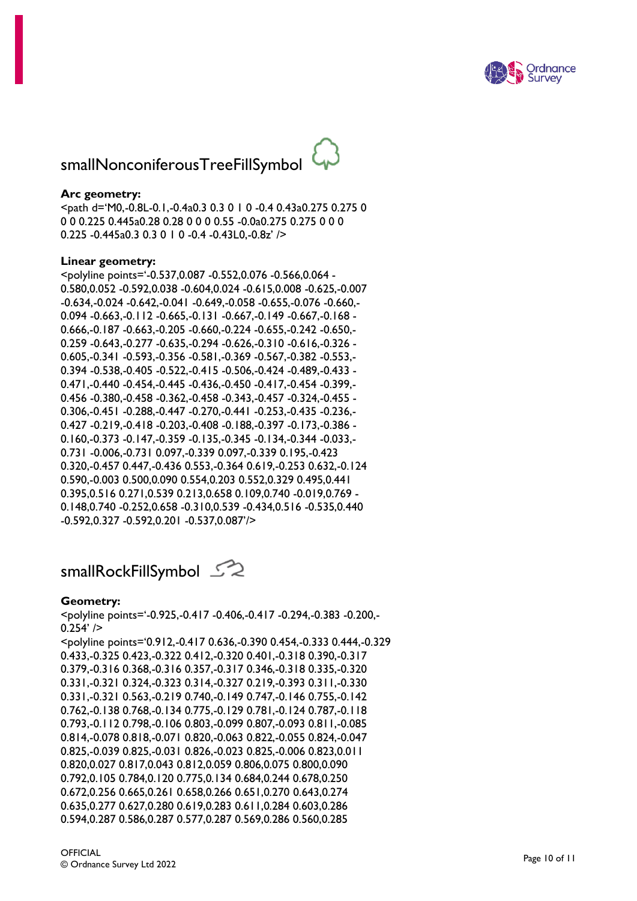

# smallNonconiferousTreeFillSymbol

#### **Arc geometry:**

<path d='M0,-0.8L-0.1,-0.4a0.3 0.3 0 1 0 -0.4 0.43a0.275 0.275 0 0 0 0.225 0.445a0.28 0.28 0 0 0 0.55 -0.0a0.275 0.275 0 0 0 0.225 -0.445a0.3 0.3 0 1 0 -0.4 -0.43L0,-0.8z' />

#### **Linear geometry:**

<polyline points='-0.537,0.087 -0.552,0.076 -0.566,0.064 - 0.580,0.052 -0.592,0.038 -0.604,0.024 -0.615,0.008 -0.625,-0.007 -0.634,-0.024 -0.642,-0.041 -0.649,-0.058 -0.655,-0.076 -0.660,- 0.094 -0.663,-0.112 -0.665,-0.131 -0.667,-0.149 -0.667,-0.168 - 0.666,-0.187 -0.663,-0.205 -0.660,-0.224 -0.655,-0.242 -0.650,- 0.259 -0.643,-0.277 -0.635,-0.294 -0.626,-0.310 -0.616,-0.326 - 0.605,-0.341 -0.593,-0.356 -0.581,-0.369 -0.567,-0.382 -0.553,- 0.394 -0.538,-0.405 -0.522,-0.415 -0.506,-0.424 -0.489,-0.433 - 0.471,-0.440 -0.454,-0.445 -0.436,-0.450 -0.417,-0.454 -0.399,- 0.456 -0.380,-0.458 -0.362,-0.458 -0.343,-0.457 -0.324,-0.455 - 0.306,-0.451 -0.288,-0.447 -0.270,-0.441 -0.253,-0.435 -0.236,- 0.427 -0.219,-0.418 -0.203,-0.408 -0.188,-0.397 -0.173,-0.386 - 0.160,-0.373 -0.147,-0.359 -0.135,-0.345 -0.134,-0.344 -0.033,- 0.731 -0.006,-0.731 0.097,-0.339 0.097,-0.339 0.195,-0.423 0.320,-0.457 0.447,-0.436 0.553,-0.364 0.619,-0.253 0.632,-0.124 0.590,-0.003 0.500,0.090 0.554,0.203 0.552,0.329 0.495,0.441 0.395,0.516 0.271,0.539 0.213,0.658 0.109,0.740 -0.019,0.769 - 0.148,0.740 -0.252,0.658 -0.310,0.539 -0.434,0.516 -0.535,0.440 -0.592,0.327 -0.592,0.201 -0.537,0.087'/>

# smallRockFillSymbol  $\mathbb{Z}$

#### **Geometry:**

<polyline points='-0.925,-0.417 -0.406,-0.417 -0.294,-0.383 -0.200,-  $0.254'$  />

<polyline points='0.912,-0.417 0.636,-0.390 0.454,-0.333 0.444,-0.329 0.433,-0.325 0.423,-0.322 0.412,-0.320 0.401,-0.318 0.390,-0.317 0.379,-0.316 0.368,-0.316 0.357,-0.317 0.346,-0.318 0.335,-0.320 0.331,-0.321 0.324,-0.323 0.314,-0.327 0.219,-0.393 0.311,-0.330 0.331,-0.321 0.563,-0.219 0.740,-0.149 0.747,-0.146 0.755,-0.142 0.762,-0.138 0.768,-0.134 0.775,-0.129 0.781,-0.124 0.787,-0.118 0.793,-0.112 0.798,-0.106 0.803,-0.099 0.807,-0.093 0.811,-0.085 0.814,-0.078 0.818,-0.071 0.820,-0.063 0.822,-0.055 0.824,-0.047 0.825,-0.039 0.825,-0.031 0.826,-0.023 0.825,-0.006 0.823,0.011 0.820,0.027 0.817,0.043 0.812,0.059 0.806,0.075 0.800,0.090 0.792,0.105 0.784,0.120 0.775,0.134 0.684,0.244 0.678,0.250 0.672,0.256 0.665,0.261 0.658,0.266 0.651,0.270 0.643,0.274 0.635,0.277 0.627,0.280 0.619,0.283 0.611,0.284 0.603,0.286 0.594,0.287 0.586,0.287 0.577,0.287 0.569,0.286 0.560,0.285